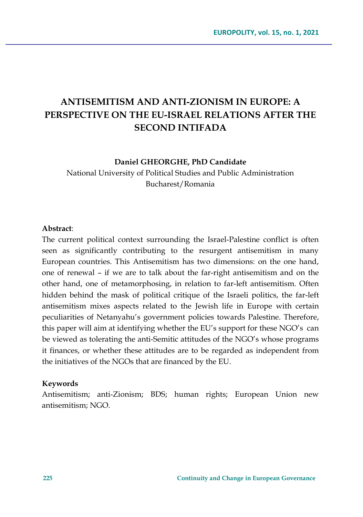# **ANTISEMITISM AND ANTI-ZIONISM IN EUROPE: A PERSPECTIVE ON THE EU-ISRAEL RELATIONS AFTER THE SECOND INTIFADA**

#### **Daniel GHEORGHE, PhD Candidate**

National University of Political Studies and Public Administration Bucharest/Romania

#### **Abstract**:

The current political context surrounding the Israel-Palestine conflict is often seen as significantly contributing to the resurgent antisemitism in many European countries. This Antisemitism has two dimensions: on the one hand, one of renewal – if we are to talk about the far-right antisemitism and on the other hand, one of metamorphosing, in relation to far-left antisemitism. Often hidden behind the mask of political critique of the Israeli politics, the far-left antisemitism mixes aspects related to the Jewish life in Europe with certain peculiarities of Netanyahu's government policies towards Palestine. Therefore, this paper will aim at identifying whether the EU's support for these NGO's can be viewed as tolerating the anti-Semitic attitudes of the NGO's whose programs it finances, or whether these attitudes are to be regarded as independent from the initiatives of the NGOs that are financed by the EU.

#### **Keywords**

Antisemitism; anti-Zionism; BDS; human rights; European Union new antisemitism; NGO.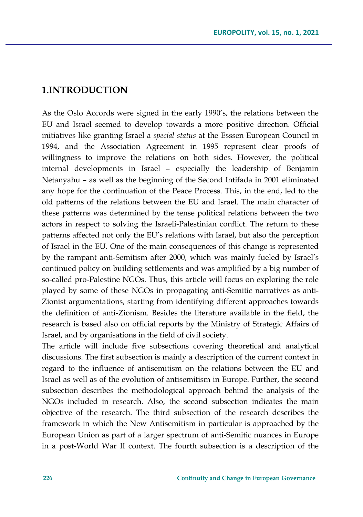### **1.INTRODUCTION**

As the Oslo Accords were signed in the early 1990's, the relations between the EU and Israel seemed to develop towards a more positive direction. Official initiatives like granting Israel a *special status* at the Esssen European Council in 1994, and the Association Agreement in 1995 represent clear proofs of willingness to improve the relations on both sides. However, the political internal developments in Israel – especially the leadership of Benjamin Netanyahu – as well as the beginning of the Second Intifada in 2001 eliminated any hope for the continuation of the Peace Process. This, in the end, led to the old patterns of the relations between the EU and Israel. The main character of these patterns was determined by the tense political relations between the two actors in respect to solving the Israeli-Palestinian conflict. The return to these patterns affected not only the EU's relations with Israel, but also the perception of Israel in the EU. One of the main consequences of this change is represented by the rampant anti-Semitism after 2000, which was mainly fueled by Israel's continued policy on building settlements and was amplified by a big number of so-called pro-Palestine NGOs. Thus, this article will focus on exploring the role played by some of these NGOs in propagating anti-Semitic narratives as anti-Zionist argumentations, starting from identifying different approaches towards the definition of anti-Zionism. Besides the literature available in the field, the research is based also on official reports by the Ministry of Strategic Affairs of Israel, and by organisations in the field of civil society.

The article will include five subsections covering theoretical and analytical discussions. The first subsection is mainly a description of the current context in regard to the influence of antisemitism on the relations between the EU and Israel as well as of the evolution of antisemitism in Europe. Further, the second subsection describes the methodological approach behind the analysis of the NGOs included in research. Also, the second subsection indicates the main objective of the research. The third subsection of the research describes the framework in which the New Antisemitism in particular is approached by the European Union as part of a larger spectrum of anti-Semitic nuances in Europe in a post-World War II context. The fourth subsection is a description of the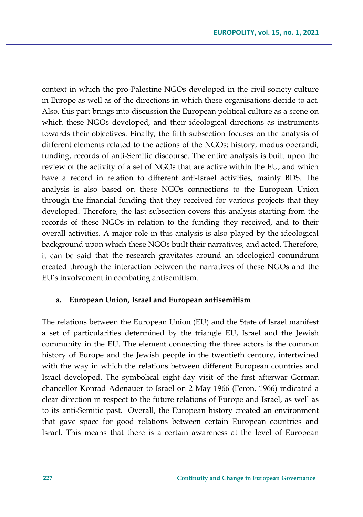context in which the pro-Palestine NGOs developed in the civil society culture in Europe as well as of the directions in which these organisations decide to act. Also, this part brings into discussion the European political culture as a scene on which these NGOs developed, and their ideological directions as instruments towards their objectives. Finally, the fifth subsection focuses on the analysis of different elements related to the actions of the NGOs: history, modus operandi, funding, records of anti-Semitic discourse. The entire analysis is built upon the review of the activity of a set of NGOs that are active within the EU, and which have a record in relation to different anti-Israel activities, mainly BDS. The analysis is also based on these NGOs connections to the European Union through the financial funding that they received for various projects that they developed. Therefore, the last subsection covers this analysis starting from the records of these NGOs in relation to the funding they received, and to their overall activities. A major role in this analysis is also played by the ideological background upon which these NGOs built their narratives, and acted. Therefore, it can be said that the research gravitates around an ideological conundrum created through the interaction between the narratives of these NGOs and the EU's involvement in combating antisemitism.

#### **a. European Union, Israel and European antisemitism**

The relations between the European Union (EU) and the State of Israel manifest a set of particularities determined by the triangle EU, Israel and the Jewish community in the EU. The element connecting the three actors is the common history of Europe and the Jewish people in the twentieth century, intertwined with the way in which the relations between different European countries and Israel developed. The symbolical eight-day visit of the first afterwar German chancellor Konrad Adenauer to Israel on 2 May 1966 (Feron, 1966) indicated a clear direction in respect to the future relations of Europe and Israel, as well as to its anti-Semitic past. Overall, the European history created an environment that gave space for good relations between certain European countries and Israel. This means that there is a certain awareness at the level of European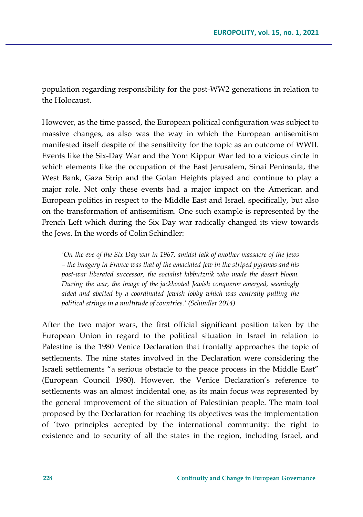population regarding responsibility for the post-WW2 generations in relation to the Holocaust.

However, as the time passed, the European political configuration was subject to massive changes, as also was the way in which the European antisemitism manifested itself despite of the sensitivity for the topic as an outcome of WWII. Events like the Six-Day War and the Yom Kippur War led to a vicious circle in which elements like the occupation of the East Jerusalem, Sinai Peninsula, the West Bank, Gaza Strip and the Golan Heights played and continue to play a major role. Not only these events had a major impact on the American and European politics in respect to the Middle East and Israel, specifically, but also on the transformation of antisemitism. One such example is represented by the French Left which during the Six Day war radically changed its view towards the Jews. In the words of Colin Schindler:

*'On the eve of the Six Day war in 1967, amidst talk of another massacre of the Jews – the imagery in France was that of the emaciated Jew in the striped pyjamas and his post-war liberated successor, the socialist kibbutznik who made the desert bloom. During the war, the image of the jackbooted Jewish conqueror emerged, seemingly aided and abetted by a coordinated Jewish lobby which was centrally pulling the political strings in a multitude of countries.' (Schindler 2014)*

After the two major wars, the first official significant position taken by the European Union in regard to the political situation in Israel in relation to Palestine is the 1980 Venice Declaration that frontally approaches the topic of settlements. The nine states involved in the Declaration were considering the Israeli settlements "a serious obstacle to the peace process in the Middle East" (European Council 1980). However, the Venice Declaration's reference to settlements was an almost incidental one, as its main focus was represented by the general improvement of the situation of Palestinian people. The main tool proposed by the Declaration for reaching its objectives was the implementation of 'two principles accepted by the international community: the right to existence and to security of all the states in the region, including Israel, and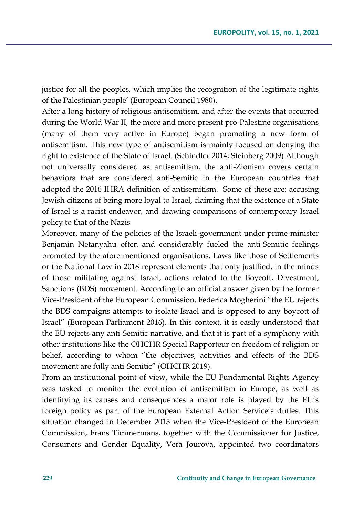justice for all the peoples, which implies the recognition of the legitimate rights of the Palestinian people' (European Council 1980).

After a long history of religious antisemitism, and after the events that occurred during the World War II, the more and more present pro-Palestine organisations (many of them very active in Europe) began promoting a new form of antisemitism. This new type of antisemitism is mainly focused on denying the right to existence of the State of Israel. (Schindler 2014; Steinberg 2009) Although not universally considered as antisemitism, the anti-Zionism covers certain behaviors that are considered anti-Semitic in the European countries that adopted the 2016 IHRA definition of antisemitism. Some of these are: accusing Jewish citizens of being more loyal to Israel, claiming that the existence of a State of Israel is a racist endeavor, and drawing comparisons of contemporary Israel policy to that of the Nazis

Moreover, many of the policies of the Israeli government under prime-minister Benjamin Netanyahu often and considerably fueled the anti-Semitic feelings promoted by the afore mentioned organisations. Laws like those of Settlements or the National Law in 2018 represent elements that only justified, in the minds of those militating against Israel, actions related to the Boycott, Divestment, Sanctions (BDS) movement. According to an official answer given by the former Vice-President of the European Commission, Federica Mogherini "the EU rejects the BDS campaigns attempts to isolate Israel and is opposed to any boycott of Israel" (European Parliament 2016). In this context, it is easily understood that the EU rejects any anti-Semitic narrative, and that it is part of a symphony with other institutions like the OHCHR Special Rapporteur on freedom of religion or belief, according to whom "the objectives, activities and effects of the BDS movement are fully anti-Semitic" (OHCHR 2019).

From an institutional point of view, while the EU Fundamental Rights Agency was tasked to monitor the evolution of antisemitism in Europe, as well as identifying its causes and consequences a major role is played by the EU's foreign policy as part of the European External Action Service's duties. This situation changed in December 2015 when the Vice-President of the European Commission, Frans Timmermans, together with the Commissioner for Justice, Consumers and Gender Equality, Vera Jourova, appointed two coordinators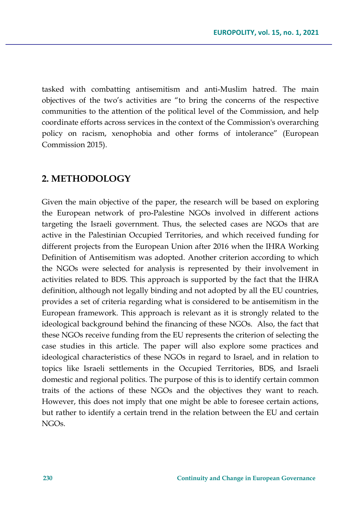tasked with combatting antisemitism and anti-Muslim hatred. The main objectives of the two's activities are "to bring the concerns of the respective communities to the attention of the political level of the Commission, and help coordinate efforts across services in the context of the Commission's overarching policy on racism, xenophobia and other forms of intolerance" (European Commission 2015).

### **2. METHODOLOGY**

Given the main objective of the paper, the research will be based on exploring the European network of pro-Palestine NGOs involved in different actions targeting the Israeli government. Thus, the selected cases are NGOs that are active in the Palestinian Occupied Territories, and which received funding for different projects from the European Union after 2016 when the IHRA Working Definition of Antisemitism was adopted. Another criterion according to which the NGOs were selected for analysis is represented by their involvement in activities related to BDS. This approach is supported by the fact that the IHRA definition, although not legally binding and not adopted by all the EU countries, provides a set of criteria regarding what is considered to be antisemitism in the European framework. This approach is relevant as it is strongly related to the ideological background behind the financing of these NGOs. Also, the fact that these NGOs receive funding from the EU represents the criterion of selecting the case studies in this article. The paper will also explore some practices and ideological characteristics of these NGOs in regard to Israel, and in relation to topics like Israeli settlements in the Occupied Territories, BDS, and Israeli domestic and regional politics. The purpose of this is to identify certain common traits of the actions of these NGOs and the objectives they want to reach. However, this does not imply that one might be able to foresee certain actions, but rather to identify a certain trend in the relation between the EU and certain NGOs.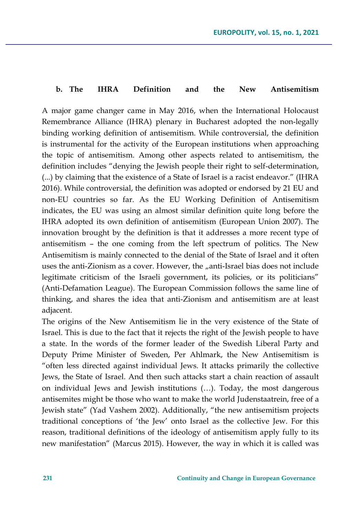#### **b. The IHRA Definition and the New Antisemitism**

A major game changer came in May 2016, when the International Holocaust Remembrance Alliance (IHRA) plenary in Bucharest adopted the non-legally binding working definition of antisemitism. While controversial, the definition is instrumental for the activity of the European institutions when approaching the topic of antisemitism. Among other aspects related to antisemitism, the definition includes "denying the Jewish people their right to self-determination, (...) by claiming that the existence of a State of Israel is a racist endeavor." (IHRA 2016). While controversial, the definition was adopted or endorsed by 21 EU and non-EU countries so far. As the EU Working Definition of Antisemitism indicates, the EU was using an almost similar definition quite long before the IHRA adopted its own definition of antisemitism (European Union 2007). The innovation brought by the definition is that it addresses a more recent type of antisemitism – the one coming from the left spectrum of politics. The New Antisemitism is mainly connected to the denial of the State of Israel and it often uses the anti-Zionism as a cover. However, the "anti-Israel bias does not include legitimate criticism of the Israeli government, its policies, or its politicians" (Anti-Defamation League). The European Commission follows the same line of thinking, and shares the idea that anti-Zionism and antisemitism are at least adjacent.

The origins of the New Antisemitism lie in the very existence of the State of Israel. This is due to the fact that it rejects the right of the Jewish people to have a state. In the words of the former leader of the Swedish Liberal Party and Deputy Prime Minister of Sweden, Per Ahlmark, the New Antisemitism is "often less directed against individual Jews. It attacks primarily the collective Jews, the State of Israel. And then such attacks start a chain reaction of assault on individual Jews and Jewish institutions (…). Today, the most dangerous antisemites might be those who want to make the world Judenstaatrein, free of a Jewish state" (Yad Vashem 2002). Additionally, "the new antisemitism projects traditional conceptions of 'the Jew' onto Israel as the collective Jew. For this reason, traditional definitions of the ideology of antisemitism apply fully to its new manifestation" (Marcus 2015). However, the way in which it is called was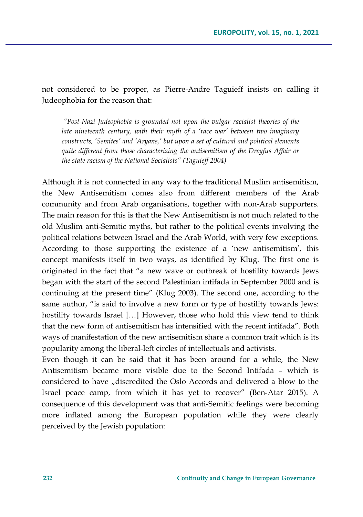not considered to be proper, as Pierre-Andre Taguieff insists on calling it Judeophobia for the reason that:

*"Post-Nazi Judeophobia is grounded not upon the vulgar racialist theories of the late nineteenth century, with their myth of a 'race war' between two imaginary constructs, 'Semites' and 'Aryans,' but upon a set of cultural and political elements quite different from those characterizing the antisemitism of the Dreyfus Affair or the state racism of the National Socialists" (Taguieff 2004)*

Although it is not connected in any way to the traditional Muslim antisemitism, the New Antisemitism comes also from different members of the Arab community and from Arab organisations, together with non-Arab supporters. The main reason for this is that the New Antisemitism is not much related to the old Muslim anti-Semitic myths, but rather to the political events involving the political relations between Israel and the Arab World, with very few exceptions. According to those supporting the existence of a 'new antisemitism', this concept manifests itself in two ways, as identified by Klug. The first one is originated in the fact that "a new wave or outbreak of hostility towards Jews began with the start of the second Palestinian intifada in September 2000 and is continuing at the present time" (Klug 2003). The second one, according to the same author, "is said to involve a new form or type of hostility towards Jews: hostility towards Israel [...] However, those who hold this view tend to think that the new form of antisemitism has intensified with the recent intifada". Both ways of manifestation of the new antisemitism share a common trait which is its popularity among the liberal-left circles of intellectuals and activists.

Even though it can be said that it has been around for a while, the New Antisemitism became more visible due to the Second Intifada – which is considered to have "discredited the Oslo Accords and delivered a blow to the Israel peace camp, from which it has yet to recover" (Ben-Atar 2015). A consequence of this development was that anti-Semitic feelings were becoming more inflated among the European population while they were clearly perceived by the Jewish population: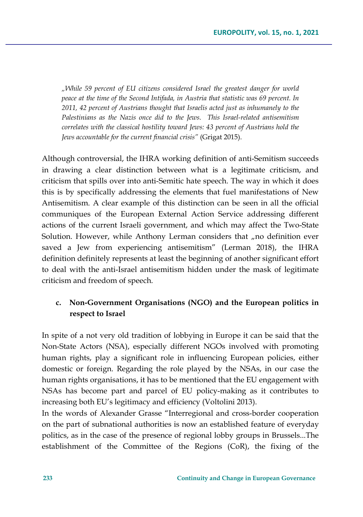*"While 59 percent of EU citizens considered Israel the greatest danger for world peace at the time of the Second Intifada, in Austria that statistic was 69 percent. In 2011, 42 percent of Austrians thought that Israelis acted just as inhumanely to the Palestinians as the Nazis once did to the Jews. This Israel-related antisemitism correlates with the classical hostility toward Jews: 43 percent of Austrians hold the Jews accountable for the current financial crisis"* (Grigat 2015).

Although controversial, the IHRA working definition of anti-Semitism succeeds in drawing a clear distinction between what is a legitimate criticism, and criticism that spills over into anti-Semitic hate speech. The way in which it does this is by specifically addressing the elements that fuel manifestations of New Antisemitism. A clear example of this distinction can be seen in all the official communiques of the European External Action Service addressing different actions of the current Israeli government, and which may affect the Two-State Solution. However, while Anthony Lerman considers that  $n$  no definition ever saved a Jew from experiencing antisemitism" (Lerman 2018), the IHRA definition definitely represents at least the beginning of another significant effort to deal with the anti-Israel antisemitism hidden under the mask of legitimate criticism and freedom of speech.

### **c. Non-Government Organisations (NGO) and the European politics in respect to Israel**

In spite of a not very old tradition of lobbying in Europe it can be said that the Non-State Actors (NSA), especially different NGOs involved with promoting human rights, play a significant role in influencing European policies, either domestic or foreign. Regarding the role played by the NSAs, in our case the human rights organisations, it has to be mentioned that the EU engagement with NSAs has become part and parcel of EU policy-making as it contributes to increasing both EU's legitimacy and efficiency (Voltolini 2013).

In the words of Alexander Grasse "Interregional and cross-border cooperation on the part of subnational authorities is now an established feature of everyday politics, as in the case of the presence of regional lobby groups in Brussels...The establishment of the Committee of the Regions (CoR), the fixing of the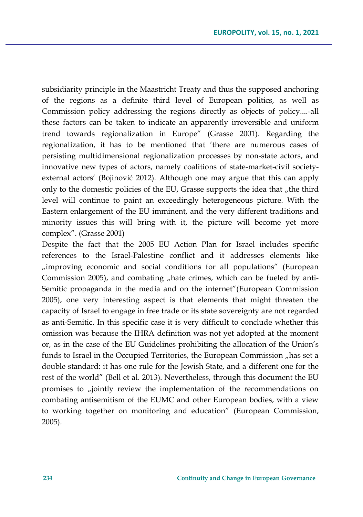subsidiarity principle in the Maastricht Treaty and thus the supposed anchoring of the regions as a definite third level of European politics, as well as Commission policy addressing the regions directly as objects of policy....-all these factors can be taken to indicate an apparently irreversible and uniform trend towards regionalization in Europe" (Grasse 2001). Regarding the regionalization, it has to be mentioned that 'there are numerous cases of persisting multidimensional regionalization processes by non-state actors, and innovative new types of actors, namely coalitions of state-market-civil societyexternal actors' (Bojinović 2012). Although one may argue that this can apply only to the domestic policies of the EU, Grasse supports the idea that "the third" level will continue to paint an exceedingly heterogeneous picture. With the Eastern enlargement of the EU imminent, and the very different traditions and minority issues this will bring with it, the picture will become yet more complex". (Grasse 2001)

Despite the fact that the 2005 EU Action Plan for Israel includes specific references to the Israel-Palestine conflict and it addresses elements like "improving economic and social conditions for all populations" (European Commission 2005), and combating "hate crimes, which can be fueled by anti-Semitic propaganda in the media and on the internet"(European Commission 2005), one very interesting aspect is that elements that might threaten the capacity of Israel to engage in free trade or its state sovereignty are not regarded as anti-Semitic. In this specific case it is very difficult to conclude whether this omission was because the IHRA definition was not yet adopted at the moment or, as in the case of the EU Guidelines prohibiting the allocation of the Union's funds to Israel in the Occupied Territories, the European Commission "has set a double standard: it has one rule for the Jewish State, and a different one for the rest of the world" (Bell et al. 2013). Nevertheless, through this document the EU promises to "jointly review the implementation of the recommendations on combating antisemitism of the EUMC and other European bodies, with a view to working together on monitoring and education" (European Commission, 2005).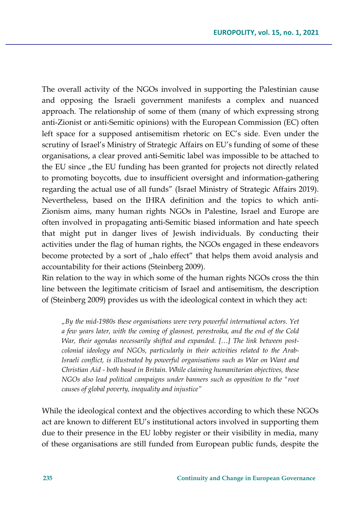The overall activity of the NGOs involved in supporting the Palestinian cause and opposing the Israeli government manifests a complex and nuanced approach. The relationship of some of them (many of which expressing strong anti-Zionist or anti-Semitic opinions) with the European Commission (EC) often left space for a supposed antisemitism rhetoric on EC's side. Even under the scrutiny of Israel's Ministry of Strategic Affairs on EU's funding of some of these organisations, a clear proved anti-Semitic label was impossible to be attached to the EU since "the EU funding has been granted for projects not directly related to promoting boycotts, due to insufficient oversight and information-gathering regarding the actual use of all funds" (Israel Ministry of Strategic Affairs 2019). Nevertheless, based on the IHRA definition and the topics to which anti-Zionism aims, many human rights NGOs in Palestine, Israel and Europe are often involved in propagating anti-Semitic biased information and hate speech that might put in danger lives of Jewish individuals. By conducting their activities under the flag of human rights, the NGOs engaged in these endeavors become protected by a sort of "halo effect" that helps them avoid analysis and accountability for their actions (Steinberg 2009).

Rin relation to the way in which some of the human rights NGOs cross the thin line between the legitimate criticism of Israel and antisemitism, the description of (Steinberg 2009) provides us with the ideological context in which they act:

*"By the mid-1980s these organisations were very powerful international actors. Yet a few years later, with the coming of glasnost, perestroika, and the end of the Cold War, their agendas necessarily shifted and expanded. […] The link between postcolonial ideology and NGOs, particularly in their activities related to the Arab-Israeli conflict, is illustrated by powerful organisations such as War on Want and Christian Aid - both based in Britain. While claiming humanitarian objectives, these NGOs also lead political campaigns under banners such as opposition to the "root causes of global poverty, inequality and injustice"*

While the ideological context and the objectives according to which these NGOs act are known to different EU's institutional actors involved in supporting them due to their presence in the EU lobby register or their visibility in media, many of these organisations are still funded from European public funds, despite the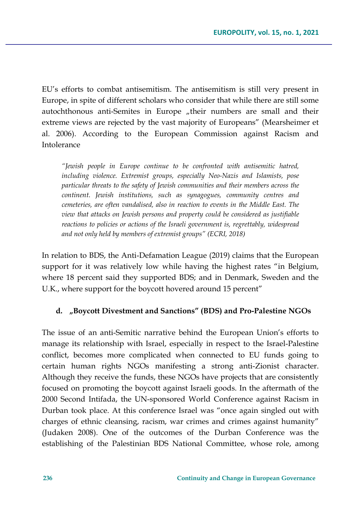EU's efforts to combat antisemitism. The antisemitism is still very present in Europe, in spite of different scholars who consider that while there are still some autochthonous anti-Semites in Europe "their numbers are small and their extreme views are rejected by the vast majority of Europeans" (Mearsheimer et al. 2006). According to the European Commission against Racism and Intolerance

*"Jewish people in Europe continue to be confronted with antisemitic hatred, including violence. Extremist groups, especially Neo-Nazis and Islamists, pose particular threats to the safety of Jewish communities and their members across the continent. Jewish institutions, such as synagogues, community centres and cemeteries, are often vandalised, also in reaction to events in the Middle East. The view that attacks on Jewish persons and property could be considered as justifiable reactions to policies or actions of the Israeli government is, regrettably, widespread and not only held by members of extremist groups" (ECRI, 2018)*

In relation to BDS, the Anti-Defamation League (2019) claims that the European support for it was relatively low while having the highest rates "in Belgium, where 18 percent said they supported BDS; and in Denmark, Sweden and the U.K., where support for the boycott hovered around 15 percent"

### **d. "Boycott Divestment and Sanctions" (BDS) and Pro-Palestine NGOs**

The issue of an anti-Semitic narrative behind the European Union's efforts to manage its relationship with Israel, especially in respect to the Israel-Palestine conflict, becomes more complicated when connected to EU funds going to certain human rights NGOs manifesting a strong anti-Zionist character. Although they receive the funds, these NGOs have projects that are consistently focused on promoting the boycott against Israeli goods. In the aftermath of the 2000 Second Intifada, the UN-sponsored World Conference against Racism in Durban took place. At this conference Israel was "once again singled out with charges of ethnic cleansing, racism, war crimes and crimes against humanity" (Judaken 2008). One of the outcomes of the Durban Conference was the establishing of the Palestinian BDS National Committee, whose role, among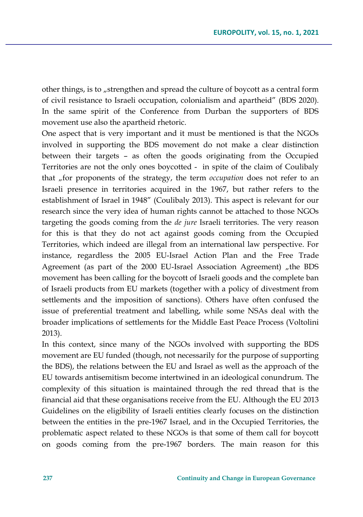other things, is to "strengthen and spread the culture of boycott as a central form of civil resistance to Israeli occupation, colonialism and apartheid" (BDS 2020). In the same spirit of the Conference from Durban the supporters of BDS movement use also the apartheid rhetoric.

One aspect that is very important and it must be mentioned is that the NGOs involved in supporting the BDS movement do not make a clear distinction between their targets – as often the goods originating from the Occupied Territories are not the only ones boycotted - in spite of the claim of Coulibaly that "for proponents of the strategy, the term *occupation* does not refer to an Israeli presence in territories acquired in the 1967, but rather refers to the establishment of Israel in 1948" (Coulibaly 2013). This aspect is relevant for our research since the very idea of human rights cannot be attached to those NGOs targeting the goods coming from the *de jure* Israeli territories. The very reason for this is that they do not act against goods coming from the Occupied Territories, which indeed are illegal from an international law perspective. For instance, regardless the 2005 EU-Israel Action Plan and the Free Trade Agreement (as part of the 2000 EU-Israel Association Agreement) "the BDS movement has been calling for the boycott of Israeli goods and the complete ban of Israeli products from EU markets (together with a policy of divestment from settlements and the imposition of sanctions). Others have often confused the issue of preferential treatment and labelling, while some NSAs deal with the broader implications of settlements for the Middle East Peace Process (Voltolini 2013).

In this context, since many of the NGOs involved with supporting the BDS movement are EU funded (though, not necessarily for the purpose of supporting the BDS), the relations between the EU and Israel as well as the approach of the EU towards antisemitism become intertwined in an ideological conundrum. The complexity of this situation is maintained through the red thread that is the financial aid that these organisations receive from the EU. Although the EU 2013 Guidelines on the eligibility of Israeli entities clearly focuses on the distinction between the entities in the pre-1967 Israel, and in the Occupied Territories, the problematic aspect related to these NGOs is that some of them call for boycott on goods coming from the pre-1967 borders. The main reason for this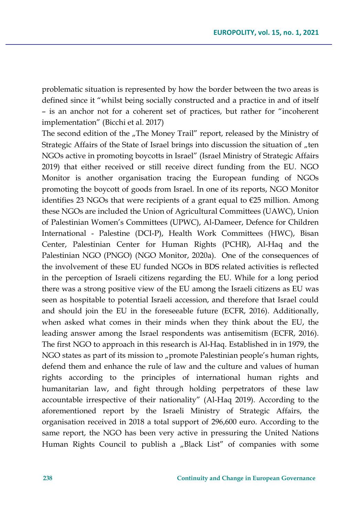problematic situation is represented by how the border between the two areas is defined since it "whilst being socially constructed and a practice in and of itself – is an anchor not for a coherent set of practices, but rather for "incoherent implementation" (Bicchi et al. 2017)

The second edition of the  $n$ The Money Trail" report, released by the Ministry of Strategic Affairs of the State of Israel brings into discussion the situation of "ten NGOs active in promoting boycotts in Israel" (Israel Ministry of Strategic Affairs 2019) that either received or still receive direct funding from the EU. NGO Monitor is another organisation tracing the European funding of NGOs promoting the boycott of goods from Israel. In one of its reports, NGO Monitor identifies 23 NGOs that were recipients of a grant equal to €25 million. Among these NGOs are included the Union of Agricultural Committees (UAWC), Union of Palestinian Women's Committees (UPWC), Al-Dameer, Defence for Children International - Palestine (DCI-P), Health Work Committees (HWC), Bisan Center, Palestinian Center for Human Rights (PCHR), Al-Haq and the Palestinian NGO (PNGO) (NGO Monitor, 2020a). One of the consequences of the involvement of these EU funded NGOs in BDS related activities is reflected in the perception of Israeli citizens regarding the EU. While for a long period there was a strong positive view of the EU among the Israeli citizens as EU was seen as hospitable to potential Israeli accession, and therefore that Israel could and should join the EU in the foreseeable future (ECFR, 2016). Additionally, when asked what comes in their minds when they think about the EU, the leading answer among the Israel respondents was antisemitism (ECFR, 2016). The first NGO to approach in this research is Al-Haq. Established in in 1979, the NGO states as part of its mission to "promote Palestinian people's human rights, defend them and enhance the rule of law and the culture and values of human rights according to the principles of international human rights and humanitarian law, and fight through holding perpetrators of these law accountable irrespective of their nationality" (Al-Haq 2019). According to the aforementioned report by the Israeli Ministry of Strategic Affairs, the organisation received in 2018 a total support of 296,600 euro. According to the same report, the NGO has been very active in pressuring the United Nations Human Rights Council to publish a "Black List" of companies with some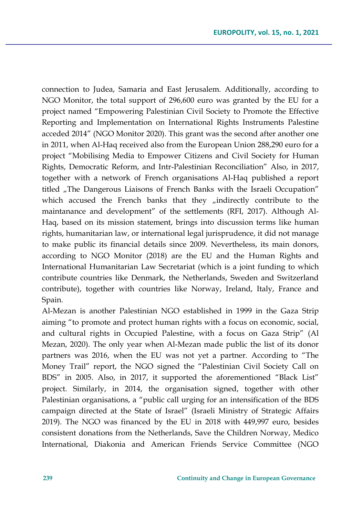connection to Judea, Samaria and East Jerusalem. Additionally, according to NGO Monitor, the total support of 296,600 euro was granted by the EU for a project named "Empowering Palestinian Civil Society to Promote the Effective Reporting and Implementation on International Rights Instruments Palestine acceded 2014" (NGO Monitor 2020). This grant was the second after another one in 2011, when Al-Haq received also from the European Union 288,290 euro for a project "Mobilising Media to Empower Citizens and Civil Society for Human Rights, Democratic Reform, and Intr-Palestinian Reconciliation" Also, in 2017, together with a network of French organisations Al-Haq published a report titled "The Dangerous Liaisons of French Banks with the Israeli Occupation" which accused the French banks that they "indirectly contribute to the maintanance and development" of the settlements (RFI, 2017). Although Al-Haq, based on its mission statement, brings into discussion terms like human rights, humanitarian law, or international legal jurisprudence, it did not manage to make public its financial details since 2009. Nevertheless, its main donors, according to NGO Monitor (2018) are the EU and the Human Rights and International Humanitarian Law Secretariat (which is a joint funding to which contribute countries like Denmark, the Netherlands, Sweden and Switzerland contribute), together with countries like Norway, Ireland, Italy, France and Spain.

Al-Mezan is another Palestinian NGO established in 1999 in the Gaza Strip aiming "to promote and protect human rights with a focus on economic, social, and cultural rights in Occupied Palestine, with a focus on Gaza Strip" (Al Mezan, 2020). The only year when Al-Mezan made public the list of its donor partners was 2016, when the EU was not yet a partner. According to "The Money Trail" report, the NGO signed the "Palestinian Civil Society Call on BDS" in 2005. Also, in 2017, it supported the aforementioned "Black List" project. Similarly, in 2014, the organisation signed, together with other Palestinian organisations, a "public call urging for an intensification of the BDS campaign directed at the State of Israel" (Israeli Ministry of Strategic Affairs 2019). The NGO was financed by the EU in 2018 with 449,997 euro, besides consistent donations from the Netherlands, Save the Children Norway, Medico International, Diakonia and American Friends Service Committee (NGO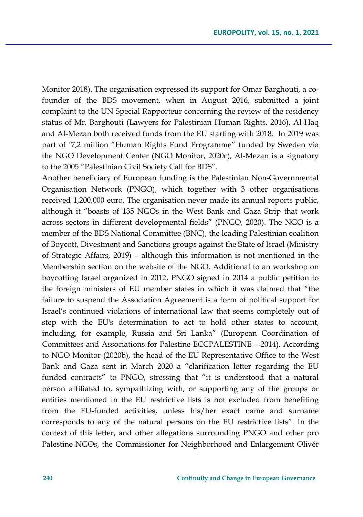Monitor 2018). The organisation expressed its support for Omar Barghouti, a cofounder of the BDS movement, when in August 2016, submitted a joint complaint to the UN Special Rapporteur concerning the review of the residency status of Mr. Barghouti (Lawyers for Palestinian Human Rights, 2016). Al-Haq and Al-Mezan both received funds from the EU starting with 2018. In 2019 was part of '7,2 million "Human Rights Fund Programme" funded by Sweden via the NGO Development Center (NGO Monitor, 2020c), Al-Mezan is a signatory to the 2005 "Palestinian Civil Society Call for BDS".

Another beneficiary of European funding is the Palestinian Non-Governmental Organisation Network (PNGO), which together with 3 other organisations received 1,200,000 euro. The organisation never made its annual reports public, although it "boasts of 135 NGOs in the West Bank and Gaza Strip that work across sectors in different developmental fields" (PNGO, 2020). The NGO is a member of the BDS National Committee (BNC), the leading Palestinian coalition of Boycott, Divestment and Sanctions groups against the State of Israel (Ministry of Strategic Affairs, 2019) – although this information is not mentioned in the Membership section on the website of the NGO. Additional to an workshop on boycotting Israel organized in 2012, PNGO signed in 2014 a public petition to the foreign ministers of EU member states in which it was claimed that "the failure to suspend the Association Agreement is a form of political support for Israel's continued violations of international law that seems completely out of step with the EU's determination to act to hold other states to account, including, for example, Russia and Sri Lanka" (European Coordination of Committees and Associations for Palestine ECCPALESTINE – 2014). According to NGO Monitor (2020b), the head of the EU Representative Office to the West Bank and Gaza sent in March 2020 a "clarification letter regarding the EU funded contracts" to PNGO, stressing that "it is understood that a natural person affiliated to, sympathizing with, or supporting any of the groups or entities mentioned in the EU restrictive lists is not excluded from benefiting from the EU-funded activities, unless his/her exact name and surname corresponds to any of the natural persons on the EU restrictive lists". In the context of this letter, and other allegations surrounding PNGO and other pro Palestine NGOs, the Commissioner for Neighborhood and Enlargement Olivér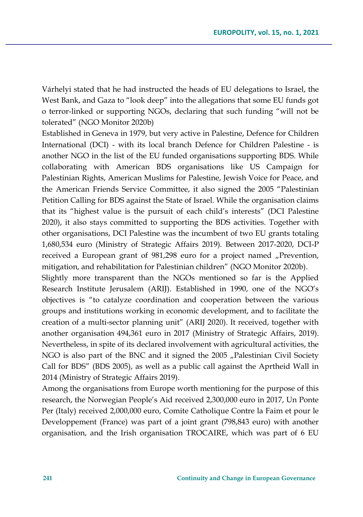Várhelyi stated that he had instructed the heads of EU delegations to Israel, the West Bank, and Gaza to "look deep" into the allegations that some EU funds got o terror-linked or supporting NGOs, declaring that such funding "will not be tolerated" (NGO Monitor 2020b)

Established in Geneva in 1979, but very active in Palestine, Defence for Children International (DCI) - with its local branch Defence for Children Palestine - is another NGO in the list of the EU funded organisations supporting BDS. While collaborating with American BDS organisations like US Campaign for Palestinian Rights, American Muslims for Palestine, Jewish Voice for Peace, and the American Friends Service Committee, it also signed the 2005 "Palestinian Petition Calling for BDS against the State of Israel. While the organisation claims that its "highest value is the pursuit of each child's interests" (DCI Palestine 2020), it also stays committed to supporting the BDS activities. Together with other organisations, DCI Palestine was the incumbent of two EU grants totaling 1,680,534 euro (Ministry of Strategic Affairs 2019). Between 2017-2020, DCI-P received a European grant of 981,298 euro for a project named "Prevention, mitigation, and rehabilitation for Palestinian children" (NGO Monitor 2020b).

Slightly more transparent than the NGOs mentioned so far is the Applied Research Institute Jerusalem (ARIJ). Established in 1990, one of the NGO's objectives is "to catalyze coordination and cooperation between the various groups and institutions working in economic development, and to facilitate the creation of a multi-sector planning unit" (ARIJ 2020). It received, together with another organisation 494,361 euro in 2017 (Ministry of Strategic Affairs, 2019). Nevertheless, in spite of its declared involvement with agricultural activities, the NGO is also part of the BNC and it signed the 2005 "Palestinian Civil Society Call for BDS" (BDS 2005), as well as a public call against the Aprtheid Wall in 2014 (Ministry of Strategic Affairs 2019).

Among the organisations from Europe worth mentioning for the purpose of this research, the Norwegian People's Aid received 2,300,000 euro in 2017, Un Ponte Per (Italy) received 2,000,000 euro, Comite Catholique Contre la Faim et pour le Developpement (France) was part of a joint grant (798,843 euro) with another organisation, and the Irish organisation TROCAIRE, which was part of 6 EU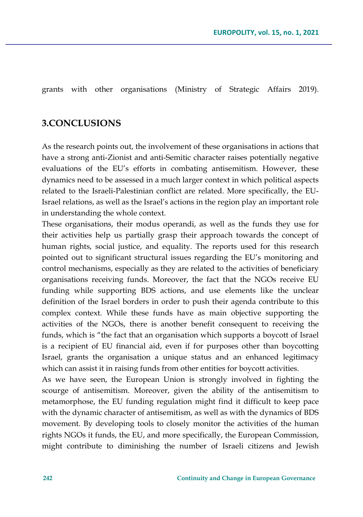grants with other organisations (Ministry of Strategic Affairs 2019).

### **3.CONCLUSIONS**

As the research points out, the involvement of these organisations in actions that have a strong anti-Zionist and anti-Semitic character raises potentially negative evaluations of the EU's efforts in combating antisemitism. However, these dynamics need to be assessed in a much larger context in which political aspects related to the Israeli-Palestinian conflict are related. More specifically, the EU-Israel relations, as well as the Israel's actions in the region play an important role in understanding the whole context.

These organisations, their modus operandi, as well as the funds they use for their activities help us partially grasp their approach towards the concept of human rights, social justice, and equality. The reports used for this research pointed out to significant structural issues regarding the EU's monitoring and control mechanisms, especially as they are related to the activities of beneficiary organisations receiving funds. Moreover, the fact that the NGOs receive EU funding while supporting BDS actions, and use elements like the unclear definition of the Israel borders in order to push their agenda contribute to this complex context. While these funds have as main objective supporting the activities of the NGOs, there is another benefit consequent to receiving the funds, which is "the fact that an organisation which supports a boycott of Israel is a recipient of EU financial aid, even if for purposes other than boycotting Israel, grants the organisation a unique status and an enhanced legitimacy which can assist it in raising funds from other entities for boycott activities.

As we have seen, the European Union is strongly involved in fighting the scourge of antisemitism. Moreover, given the ability of the antisemitism to metamorphose, the EU funding regulation might find it difficult to keep pace with the dynamic character of antisemitism, as well as with the dynamics of BDS movement. By developing tools to closely monitor the activities of the human rights NGOs it funds, the EU, and more specifically, the European Commission, might contribute to diminishing the number of Israeli citizens and Jewish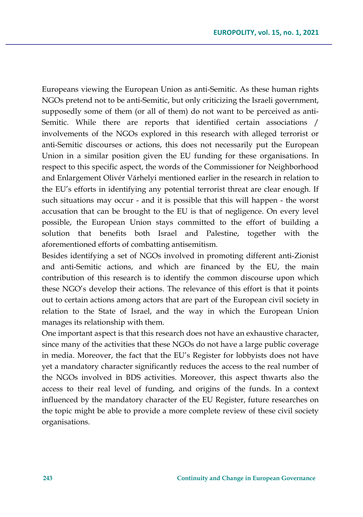Europeans viewing the European Union as anti-Semitic. As these human rights NGOs pretend not to be anti-Semitic, but only criticizing the Israeli government, supposedly some of them (or all of them) do not want to be perceived as anti-Semitic. While there are reports that identified certain associations / involvements of the NGOs explored in this research with alleged terrorist or anti-Semitic discourses or actions, this does not necessarily put the European Union in a similar position given the EU funding for these organisations. In respect to this specific aspect, the words of the Commissioner for Neighborhood and Enlargement Olivér Várhelyi mentioned earlier in the research in relation to the EU's efforts in identifying any potential terrorist threat are clear enough. If such situations may occur - and it is possible that this will happen - the worst accusation that can be brought to the EU is that of negligence. On every level possible, the European Union stays committed to the effort of building a solution that benefits both Israel and Palestine, together with the aforementioned efforts of combatting antisemitism.

Besides identifying a set of NGOs involved in promoting different anti-Zionist and anti-Semitic actions, and which are financed by the EU, the main contribution of this research is to identify the common discourse upon which these NGO's develop their actions. The relevance of this effort is that it points out to certain actions among actors that are part of the European civil society in relation to the State of Israel, and the way in which the European Union manages its relationship with them.

One important aspect is that this research does not have an exhaustive character, since many of the activities that these NGOs do not have a large public coverage in media. Moreover, the fact that the EU's Register for lobbyists does not have yet a mandatory character significantly reduces the access to the real number of the NGOs involved in BDS activities. Moreover, this aspect thwarts also the access to their real level of funding, and origins of the funds. In a context influenced by the mandatory character of the EU Register, future researches on the topic might be able to provide a more complete review of these civil society organisations.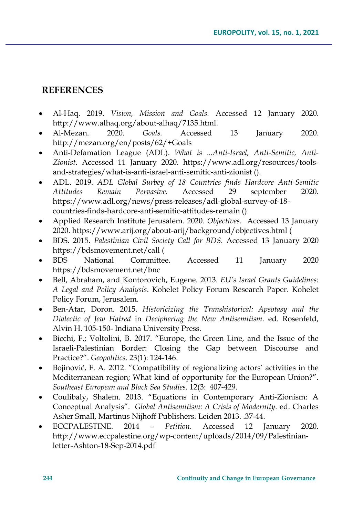## **REFERENCES**

- Al-Haq. 2019. *Vision, Mission and Goals.* Accessed 12 January 2020. [http://www.alhaq.org/about](http://www.alhaq.org/about-alhaq/7135.html)-alhaq/7135.html.
- Al-Mezan. 2020. *Goals.* Accessed 13 January 2020. http://mezan.org/en/posts/62/+Goals
- Anti-Defamation League (ADL). *What is ...Anti-Israel, Anti-Semitic, Anti-Zionist.* Accessed 11 January 2020. https://www.adl.org/resources/toolsand-strategies/what-is-anti-israel-anti-semitic-anti-zionist ().
- ADL. 2019. *ADL Global Surbey of 18 Countries finds Hardcore Anti-Semitic Attitudes Remain Pervasive.* Accessed 29 september 2020. [https://www.adl.org/news/press](https://www.adl.org/news/press-releases/adl-global-survey-of-18-countries-finds-hardcore-anti-semitic-attitudes-remain)-releases/adl-global-survey-of-18 [countries](https://www.adl.org/news/press-releases/adl-global-survey-of-18-countries-finds-hardcore-anti-semitic-attitudes-remain)-finds-hardcore-anti-semitic-attitudes-remain ()
- Applied Research Institute Jerusalem. 2020. *Objectives.* Accessed 13 January 2020. https://www.arij.org/about-arij/background/objectives.html (
- BDS. 2015. *Palestinian Civil Society Call for BDS.* Accessed 13 January 2020 https://bdsmovement.net/call (
- BDS National Committee. Accessed 11 January 2020 <https://bdsmovement.net/bnc>
- Bell, Abraham, and Kontorovich, Eugene. 2013. *EU's Israel Grants Guidelines: A Legal and Policy Analysis*. Kohelet Policy Forum Research Paper. Kohelet Policy Forum, Jerusalem.
- Ben-Atar, Doron. 2015. *Historicizing the Transhistorical: Apsotasy and the Dialectic of Jew Hatred* in *Deciphering the New Antisemitism.* ed. Rosenfeld, Alvin H. 105-150- Indiana University Press.
- Bicchi, F.; Voltolini, B. 2017. "Europe, the Green Line, and the Issue of the Israeli-Palestinian Border: Closing the Gap between Discourse and Practice?". *Geopolitics*. 23(1): 124-146.
- Bojinović, F. A. 2012. "Compatibility of regionalizing actors' activities in the Mediterranean region; What kind of opportunity for the European Union?". *Southeast European and Black Sea Studies*. 12(3: 407-429.
- Coulibaly, Shalem. 2013. "Equations in Contemporary Anti-Zionism: A Conceptual Analysis"*. Global Antisemitism: A Crisis of Modernity.* ed. Charles Asher Small, Martinus Nijhoff Publishers. Leiden 2013. .37-44.
- ECCPALESTINE. 2014 *Petition.* Accessed 12 January 2020*.* http://www.eccpalestine.org/wp-content/uploads/2014/09/Palestinianletter-Ashton-18-Sep-2014.pdf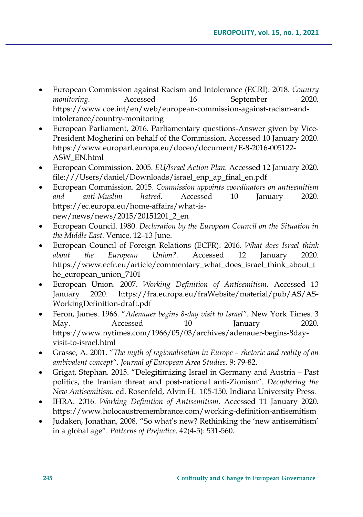- European Commission against Racism and Intolerance (ECRI). 2018. *Country monitoring.* Accessed 16 September 2020. [https://www.coe.int/en/web/european](https://www.coe.int/en/web/european-commission-against-racism-and-intolerance/country-monitoring)-commission-against-racism-and[intolerance/country](https://www.coe.int/en/web/european-commission-against-racism-and-intolerance/country-monitoring)-monitoring
- European Parliament, 2016. Parliamentary questions-Answer given by Vice-President Mogherini on behalf of the Commission. Accessed 10 January 2020. [https://www.europarl.europa.eu/doceo/document/E](https://www.europarl.europa.eu/doceo/document/E-8-2016-005122-ASW_EN.html)-8-2016-005122- [ASW\\_EN.html](https://www.europarl.europa.eu/doceo/document/E-8-2016-005122-ASW_EN.html)
- European Commission. 2005. *EU/Israel Action Plan.* Accessed 12 January 2020*.*  file:///Users/daniel/Downloads/israel\_enp\_ap\_final\_en.pdf
- European Commission. 2015. *Commission appoints coordinators on antisemitism and anti-Muslim hatred.* Accessed 10 January 2020. [https://ec.europa.eu/home](https://ec.europa.eu/home-affairs/what-is-new/news/news/2015/20151201_2_en)-affairs/what-is[new/news/news/2015/20151201\\_2\\_en](https://ec.europa.eu/home-affairs/what-is-new/news/news/2015/20151201_2_en)
- European Council. 1980. *Declaration by the European Council on the Situation in the Middle East.* Venice. 12–13 June.
- European Council of Foreign Relations (ECFR). 2016. *What does Israel think about the European Union?.* Accessed 12 January 2020. [https://www.ecfr.eu/article/commentary\\_what\\_does\\_israel\\_think\\_about\\_t](https://www.ecfr.eu/article/commentary_what_does_israel_think_about_the_european_union_7101) [he\\_european\\_union\\_7101](https://www.ecfr.eu/article/commentary_what_does_israel_think_about_the_european_union_7101)
- European Union. 2007. *Working Definition of Antisemitism.* Accessed 13 January 2020. [https://fra.europa.eu/fraWebsite/material/pub/AS/AS](https://fra.europa.eu/fraWebsite/material/pub/AS/AS-WorkingDefinition-draft.pdf)-[WorkingDefinition](https://fra.europa.eu/fraWebsite/material/pub/AS/AS-WorkingDefinition-draft.pdf)-draft.pdf
- Feron, James. 1966. "*Adenauer begins 8-day visit to Israel".* New York Times. 3 May. Accessed 10 January 2020. h[ttps://www.nytimes.com/1966/05/03/archives/adenauer](https://www.nytimes.com/1966/05/03/archives/adenauer-begins-8day-visit-to-israel.html)-begins-8dayvisit-to-[israel.html](https://www.nytimes.com/1966/05/03/archives/adenauer-begins-8day-visit-to-israel.html)
- Grasse, A. 2001. "*The myth of regionalisation in Europe – rhetoric and reality of an ambivalent concept". Journal of European Area Studies*. 9: 79-82.
- Grigat, Stephan. 2015. "Delegitimizing Israel in Germany and Austria Past politics, the Iranian threat and post-national anti-Zionism"*. Deciphering the New Antisemitism.* ed. Rosenfeld, Alvin H. 105-150. Indiana University Press.
- IHRA. 2016. *Working Definition of Antisemitism.* Accessed 11 January 2020. [https://www.holocaustremembrance.com/working](https://www.holocaustremembrance.com/working-definition-antisemitism)-definition-antisemitism
- Judaken, Jonathan, 2008. "So what's new? Rethinking the 'new antisemitism' in a global age"*. Patterns of Prejudice*. 42(4-5): 531-560.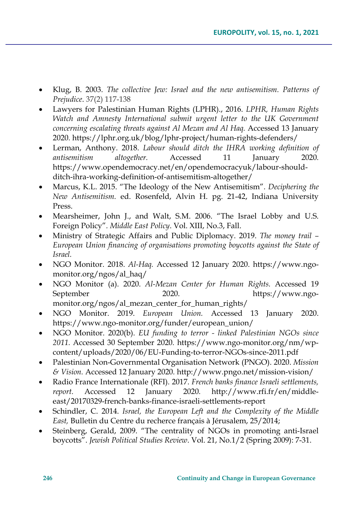- Klug, B. 2003. *The collective Jew: Israel and the new antisemitism. Patterns of Prejudice*. 37(2) 117-138
- Lawyers for Palestinian Human Rights (LPHR)., 2016. *LPHR, Human Rights Watch and Amnesty International submit urgent letter to the UK Government concerning escalating threats against Al Mezan and Al Haq.* Accessed 13 January 2020*.* [https://lphr.org.uk/blog/lphr](https://lphr.org.uk/blog/lphr-project/human-rights-defenders/)-project/human-rights-defenders/
- Lerman, Anthony. 2018. *Labour should ditch the IHRA working definition of antisemitism altogether.* Accessed 11 January 2020*.* [https://www.opendemocracy.net/en/opendemocracyuk/labour](https://www.opendemocracy.net/en/opendemocracyuk/labour-should-ditch-ihra-working-definition-of-antisemitism-altogether/)-shouldditch-ihra-working-definition-of-[antisemitism](https://www.opendemocracy.net/en/opendemocracyuk/labour-should-ditch-ihra-working-definition-of-antisemitism-altogether/)-altogether/
- Marcus, K.L. 2015. "The Ideology of the New Antisemitism"*. Deciphering the New Antisemitism.* ed. Rosenfeld, Alvin H. pg. 21-42, Indiana University Press.
- Mearsheimer, John J., and Walt, S.M. 2006. "The Israel Lobby and U.S. Foreign Policy"*. Middle East Policy*. Vol. XIII, No.3, Fall.
- Ministry of Strategic Affairs and Public Diplomacy. 2019. *The money trail – European Union financing of organisations promoting boycotts against the State of Israel.*
- NGO Monitor. 2018. *Al-Haq.* Accessed 12 January 2020. [https://www.ngo](https://www.ngo-monitor.org/ngos/al_haq/)[monitor.org/ngos/al\\_haq/](https://www.ngo-monitor.org/ngos/al_haq/)
- NGO Monitor (a). 2020. *Al-Mezan Center for Human Rights.* Accessed 19 September 2020. [https://www.ngo](https://www.ngo-monitor.org/ngos/al_mezan_center_for_human_rights/)[monitor.org/ngos/al\\_mezan\\_center\\_for\\_human\\_rights/](https://www.ngo-monitor.org/ngos/al_mezan_center_for_human_rights/)
- NGO Monitor. 2019. *European Union.* Accessed 13 January 2020. https://www.ngo-monitor.org/funder/european\_union/
- NGO Monitor. 2020(b). *EU funding to terror - linked Palestinian NGOs since 2011.* Accessed 30 September 2020*.* https://www.ngo-[monitor.org/nm/wp](https://www.ngo-monitor.org/nm/wp-content/uploads/2020/06/EU-Funding-to-terror-NGOs-since-2011.pdf)[content/uploads/2020/06/EU](https://www.ngo-monitor.org/nm/wp-content/uploads/2020/06/EU-Funding-to-terror-NGOs-since-2011.pdf)-Funding-to-terror-NGOs-since-2011.pdf
- Palestinian Non-Governmental Organisation Network (PNGO). 2020. *Mission & Vision.* Accessed 12 January 2020*.* [http://www.pngo.net/mission](http://www.pngo.net/mission-vision/)-vision/
- Radio France Internationale (RFI). 2017. *French banks finance Israeli settlements, report.* Accessed 12 January 2020*.* http://www.rfi.fr/en/middleeast/20170329-french-banks-finance-israeli-settlements-report
- Schindler, C. 2014. *Israel, the European Left and the Complexity of the Middle East,* Bulletin du Centre du recherce français à Jérusalem, 25/2014;
- Steinberg, Gerald, 2009. "The centrality of NGOs in promoting anti-Israel boycotts". *Jewish Political Studies Review*. Vol. 21, No.1/2 (Spring 2009): 7-31.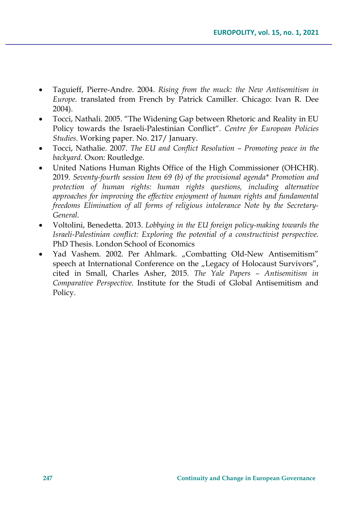- Taguieff, Pierre-Andre. 2004. *Rising from the muck: the New Antisemitism in Europe.* translated from French by Patrick Camiller. Chicago: Ivan R. Dee 2004).
- Tocci, Nathali. 2005. "The Widening Gap between Rhetoric and Reality in EU Policy towards the Israeli-Palestinian Conflict"*. Centre for European Policies Studies*. Working paper. No. 217/ January.
- Tocci, Nathalie. 2007. *The EU and Conflict Resolution – Promoting peace in the backyard.* Oxon: Routledge.
- United Nations Human Rights Office of the High Commissioner (OHCHR). 2019. *Seventy-fourth session Item 69 (b) of the provisional agenda\* Promotion and protection of human rights: human rights questions, including alternative approaches for improving the effective enjoyment of human rights and fundamental freedoms Elimination of all forms of religious intolerance Note by the Secretary-General*.
- Voltolini, Benedetta. 2013. *Lobbying in the EU foreign policy-making towards the Israeli-Palestinian conflict: Exploring the potential of a constructivist perspective.* PhD Thesis. London School of Economics
- Yad Vashem. 2002. Per Ahlmark. "Combatting Old-New Antisemitism" speech at International Conference on the "Legacy of Holocaust Survivors", cited in Small, Charles Asher, 2015. *The Yale Papers – Antisemitism in Comparative Perspective.* Institute for the Studi of Global Antisemitism and Policy.